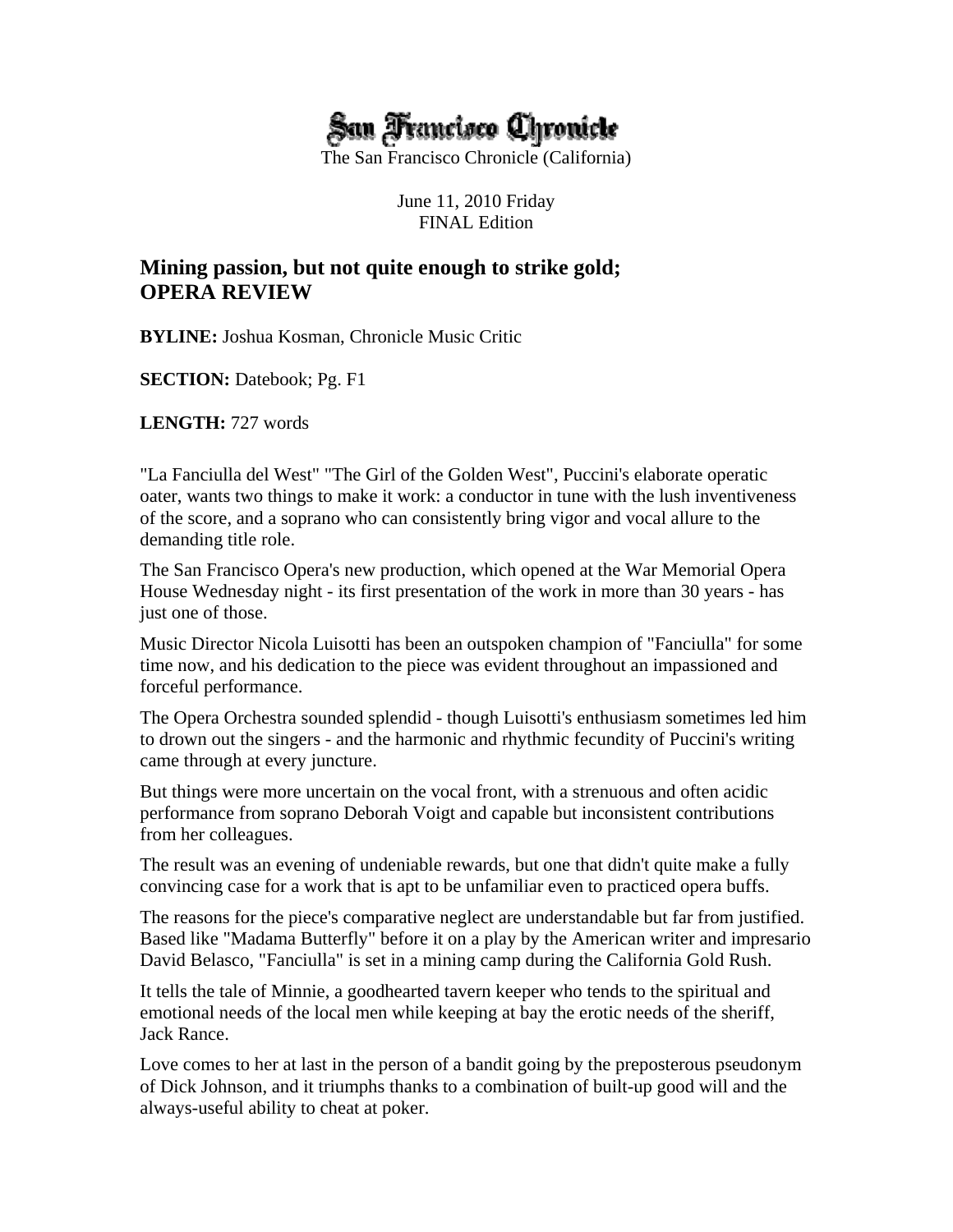

The San Francisco Chronicle (California)

June 11, 2010 Friday FINAL Edition

# **Mining passion, but not quite enough to strike gold; OPERA REVIEW**

**BYLINE:** Joshua Kosman, Chronicle Music Critic

**SECTION:** Datebook; Pg. F1

**LENGTH:** 727 words

"La Fanciulla del West" "The Girl of the Golden West", Puccini's elaborate operatic oater, wants two things to make it work: a conductor in tune with the lush inventiveness of the score, and a soprano who can consistently bring vigor and vocal allure to the demanding title role.

The San Francisco Opera's new production, which opened at the War Memorial Opera House Wednesday night - its first presentation of the work in more than 30 years - has just one of those.

Music Director Nicola Luisotti has been an outspoken champion of "Fanciulla" for some time now, and his dedication to the piece was evident throughout an impassioned and forceful performance.

The Opera Orchestra sounded splendid - though Luisotti's enthusiasm sometimes led him to drown out the singers - and the harmonic and rhythmic fecundity of Puccini's writing came through at every juncture.

But things were more uncertain on the vocal front, with a strenuous and often acidic performance from soprano Deborah Voigt and capable but inconsistent contributions from her colleagues.

The result was an evening of undeniable rewards, but one that didn't quite make a fully convincing case for a work that is apt to be unfamiliar even to practiced opera buffs.

The reasons for the piece's comparative neglect are understandable but far from justified. Based like "Madama Butterfly" before it on a play by the American writer and impresario David Belasco, "Fanciulla" is set in a mining camp during the California Gold Rush.

It tells the tale of Minnie, a goodhearted tavern keeper who tends to the spiritual and emotional needs of the local men while keeping at bay the erotic needs of the sheriff, Jack Rance.

Love comes to her at last in the person of a bandit going by the preposterous pseudonym of Dick Johnson, and it triumphs thanks to a combination of built-up good will and the always-useful ability to cheat at poker.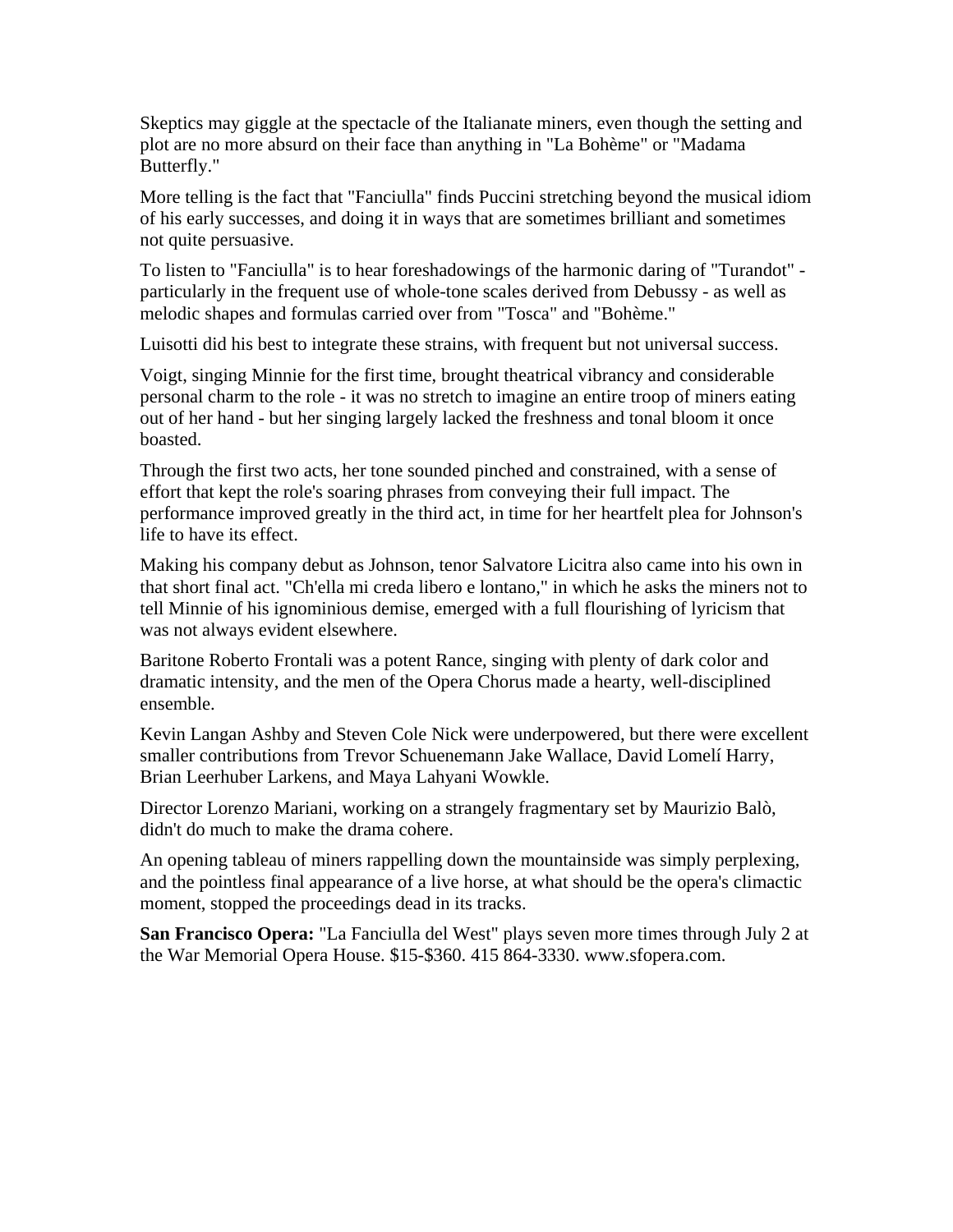Skeptics may giggle at the spectacle of the Italianate miners, even though the setting and plot are no more absurd on their face than anything in "La Bohème" or "Madama Butterfly."

More telling is the fact that "Fanciulla" finds Puccini stretching beyond the musical idiom of his early successes, and doing it in ways that are sometimes brilliant and sometimes not quite persuasive.

To listen to "Fanciulla" is to hear foreshadowings of the harmonic daring of "Turandot" particularly in the frequent use of whole-tone scales derived from Debussy - as well as melodic shapes and formulas carried over from "Tosca" and "Bohème."

Luisotti did his best to integrate these strains, with frequent but not universal success.

Voigt, singing Minnie for the first time, brought theatrical vibrancy and considerable personal charm to the role - it was no stretch to imagine an entire troop of miners eating out of her hand - but her singing largely lacked the freshness and tonal bloom it once boasted.

Through the first two acts, her tone sounded pinched and constrained, with a sense of effort that kept the role's soaring phrases from conveying their full impact. The performance improved greatly in the third act, in time for her heartfelt plea for Johnson's life to have its effect.

Making his company debut as Johnson, tenor Salvatore Licitra also came into his own in that short final act. "Ch'ella mi creda libero e lontano," in which he asks the miners not to tell Minnie of his ignominious demise, emerged with a full flourishing of lyricism that was not always evident elsewhere.

Baritone Roberto Frontali was a potent Rance, singing with plenty of dark color and dramatic intensity, and the men of the Opera Chorus made a hearty, well-disciplined ensemble.

Kevin Langan Ashby and Steven Cole Nick were underpowered, but there were excellent smaller contributions from Trevor Schuenemann Jake Wallace, David Lomelí Harry, Brian Leerhuber Larkens, and Maya Lahyani Wowkle.

Director Lorenzo Mariani, working on a strangely fragmentary set by Maurizio Balò, didn't do much to make the drama cohere.

An opening tableau of miners rappelling down the mountainside was simply perplexing, and the pointless final appearance of a live horse, at what should be the opera's climactic moment, stopped the proceedings dead in its tracks.

**San Francisco Opera:** "La Fanciulla del West" plays seven more times through July 2 at the War Memorial Opera House. \$15-\$360. 415 864-3330. www.sfopera.com.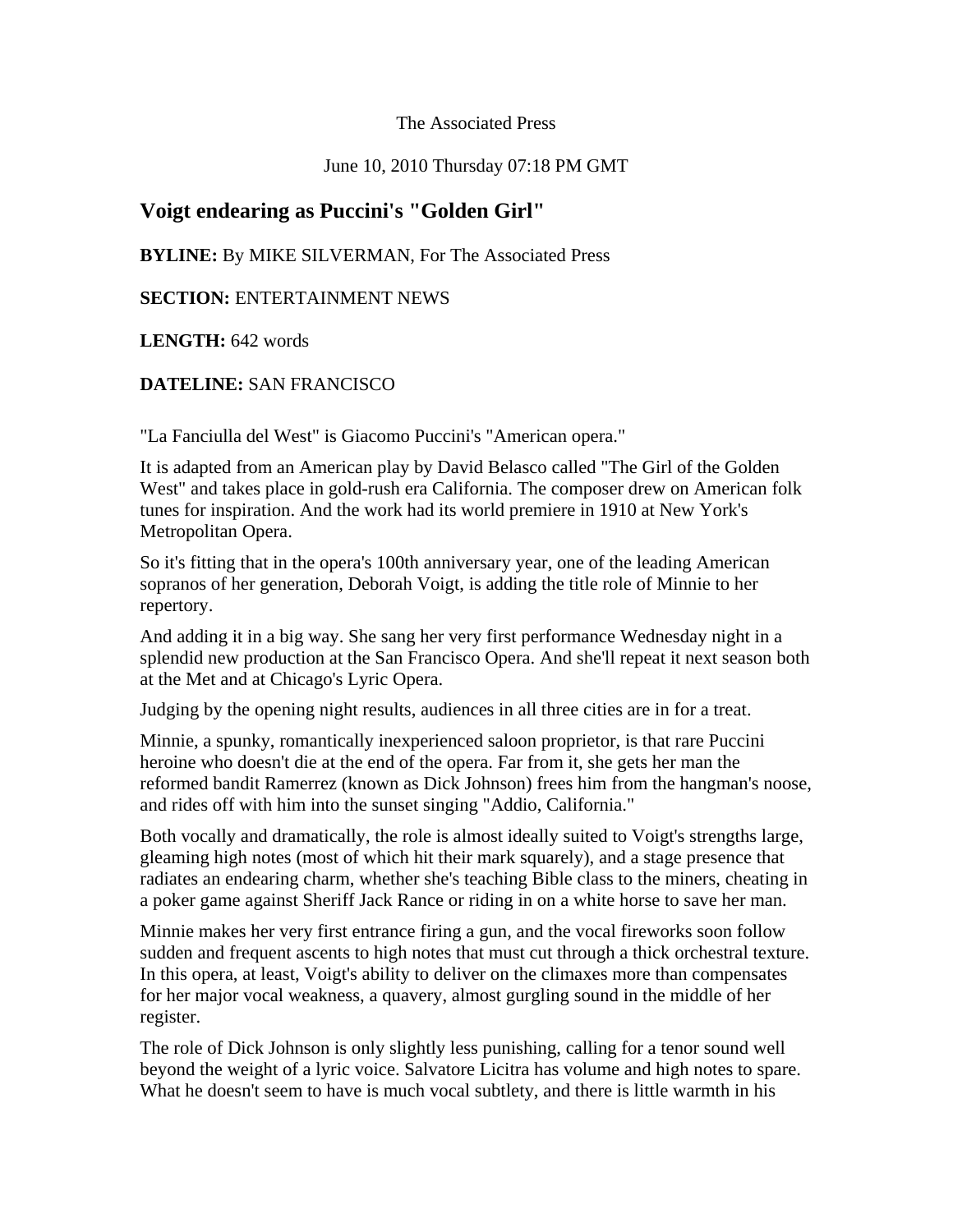The Associated Press

June 10, 2010 Thursday 07:18 PM GMT

## **Voigt endearing as Puccini's "Golden Girl"**

**BYLINE:** By MIKE SILVERMAN, For The Associated Press

## **SECTION:** ENTERTAINMENT NEWS

**LENGTH:** 642 words

## **DATELINE:** SAN FRANCISCO

"La Fanciulla del West" is Giacomo Puccini's "American opera."

It is adapted from an American play by David Belasco called "The Girl of the Golden West" and takes place in gold-rush era California. The composer drew on American folk tunes for inspiration. And the work had its world premiere in 1910 at New York's Metropolitan Opera.

So it's fitting that in the opera's 100th anniversary year, one of the leading American sopranos of her generation, Deborah Voigt, is adding the title role of Minnie to her repertory.

And adding it in a big way. She sang her very first performance Wednesday night in a splendid new production at the San Francisco Opera. And she'll repeat it next season both at the Met and at Chicago's Lyric Opera.

Judging by the opening night results, audiences in all three cities are in for a treat.

Minnie, a spunky, romantically inexperienced saloon proprietor, is that rare Puccini heroine who doesn't die at the end of the opera. Far from it, she gets her man the reformed bandit Ramerrez (known as Dick Johnson) frees him from the hangman's noose, and rides off with him into the sunset singing "Addio, California."

Both vocally and dramatically, the role is almost ideally suited to Voigt's strengths large, gleaming high notes (most of which hit their mark squarely), and a stage presence that radiates an endearing charm, whether she's teaching Bible class to the miners, cheating in a poker game against Sheriff Jack Rance or riding in on a white horse to save her man.

Minnie makes her very first entrance firing a gun, and the vocal fireworks soon follow sudden and frequent ascents to high notes that must cut through a thick orchestral texture. In this opera, at least, Voigt's ability to deliver on the climaxes more than compensates for her major vocal weakness, a quavery, almost gurgling sound in the middle of her register.

The role of Dick Johnson is only slightly less punishing, calling for a tenor sound well beyond the weight of a lyric voice. Salvatore Licitra has volume and high notes to spare. What he doesn't seem to have is much vocal subtlety, and there is little warmth in his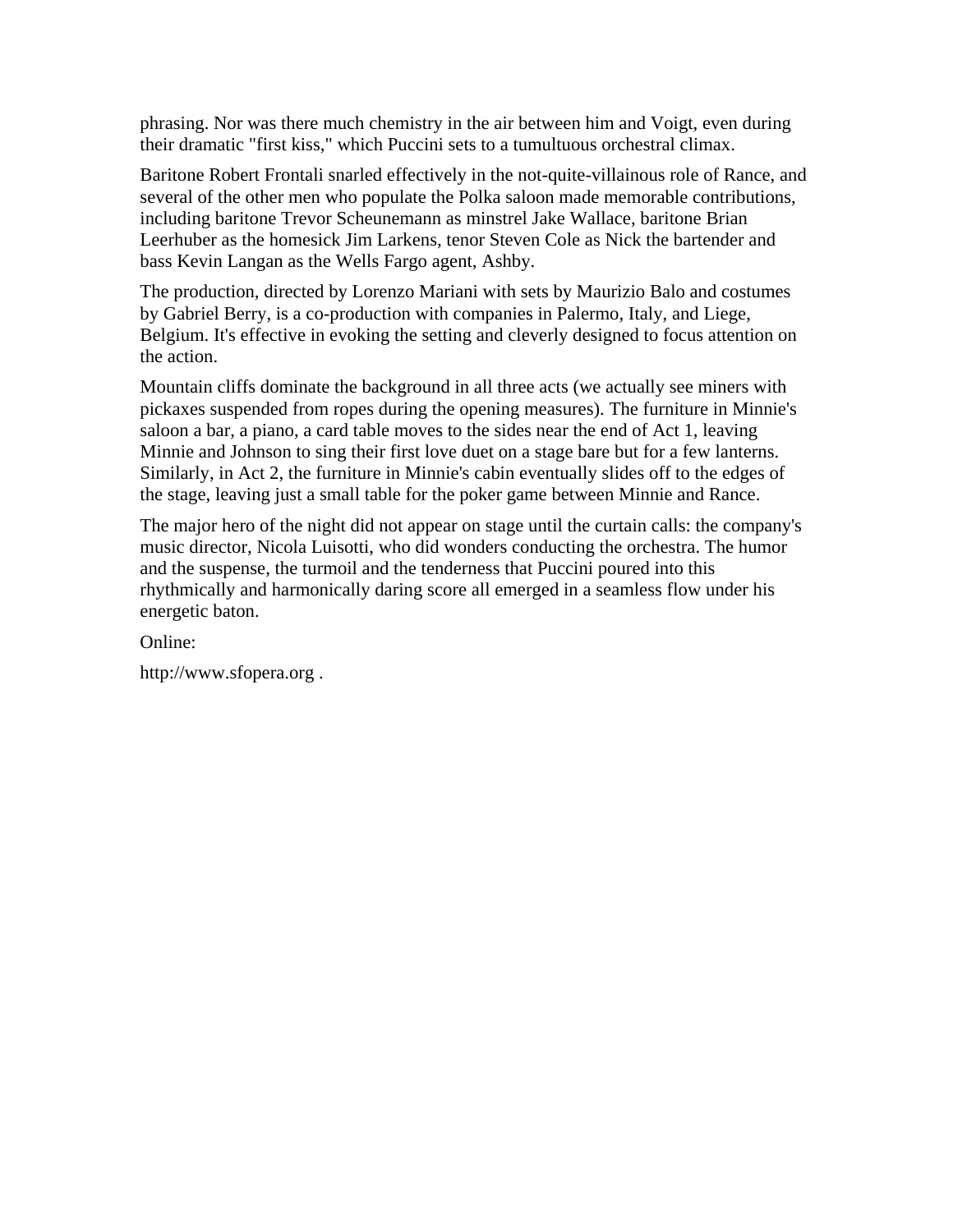phrasing. Nor was there much chemistry in the air between him and Voigt, even during their dramatic "first kiss," which Puccini sets to a tumultuous orchestral climax.

Baritone Robert Frontali snarled effectively in the not-quite-villainous role of Rance, and several of the other men who populate the Polka saloon made memorable contributions, including baritone Trevor Scheunemann as minstrel Jake Wallace, baritone Brian Leerhuber as the homesick Jim Larkens, tenor Steven Cole as Nick the bartender and bass Kevin Langan as the Wells Fargo agent, Ashby.

The production, directed by Lorenzo Mariani with sets by Maurizio Balo and costumes by Gabriel Berry, is a co-production with companies in Palermo, Italy, and Liege, Belgium. It's effective in evoking the setting and cleverly designed to focus attention on the action.

Mountain cliffs dominate the background in all three acts (we actually see miners with pickaxes suspended from ropes during the opening measures). The furniture in Minnie's saloon a bar, a piano, a card table moves to the sides near the end of Act 1, leaving Minnie and Johnson to sing their first love duet on a stage bare but for a few lanterns. Similarly, in Act 2, the furniture in Minnie's cabin eventually slides off to the edges of the stage, leaving just a small table for the poker game between Minnie and Rance.

The major hero of the night did not appear on stage until the curtain calls: the company's music director, Nicola Luisotti, who did wonders conducting the orchestra. The humor and the suspense, the turmoil and the tenderness that Puccini poured into this rhythmically and harmonically daring score all emerged in a seamless flow under his energetic baton.

Online:

http://www.sfopera.org .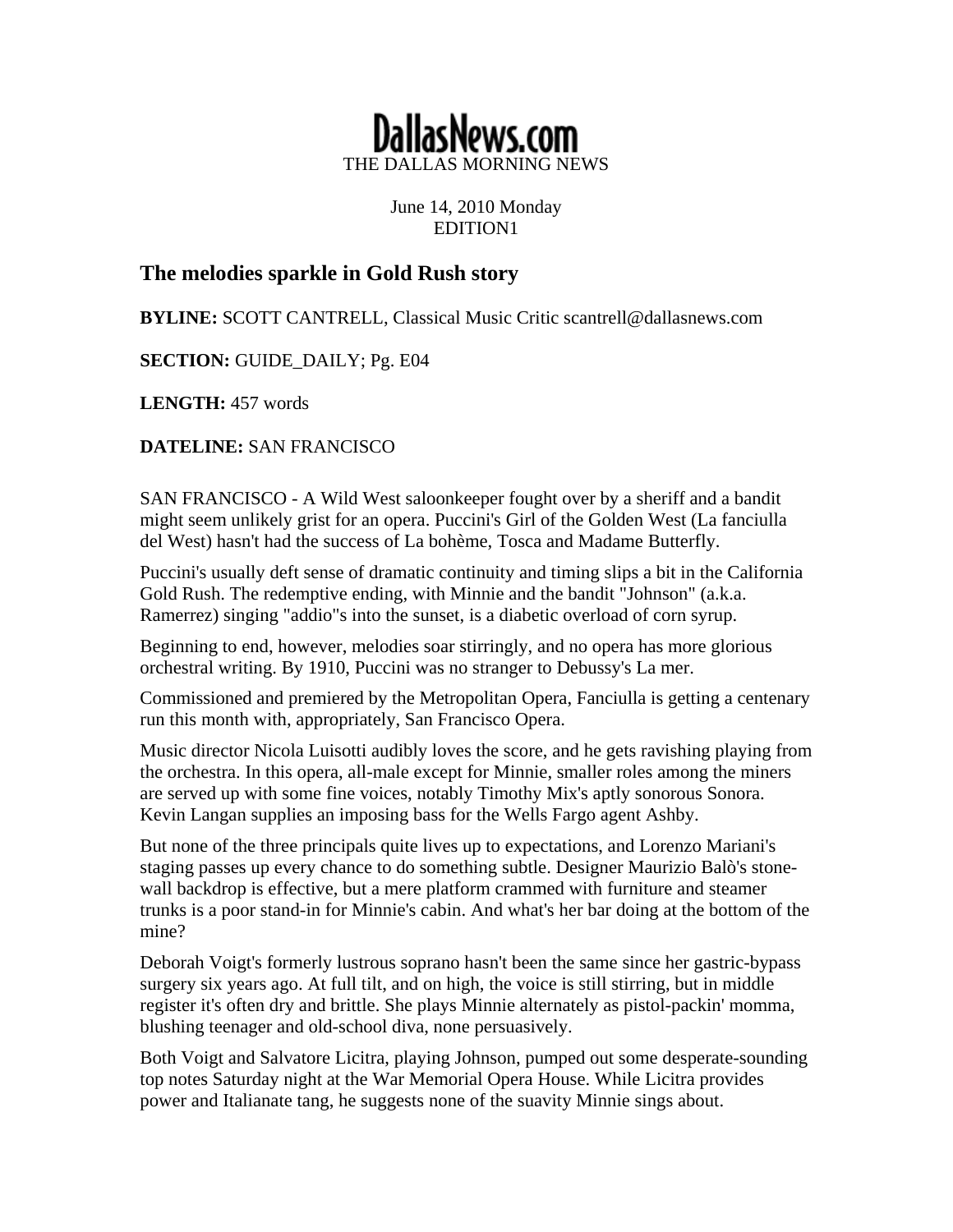

June 14, 2010 Monday EDITION1

# **The melodies sparkle in Gold Rush story**

**BYLINE:** SCOTT CANTRELL, Classical Music Critic scantrell@dallasnews.com

**SECTION: GUIDE DAILY; Pg. E04** 

**LENGTH:** 457 words

**DATELINE:** SAN FRANCISCO

SAN FRANCISCO - A Wild West saloonkeeper fought over by a sheriff and a bandit might seem unlikely grist for an opera. Puccini's Girl of the Golden West (La fanciulla del West) hasn't had the success of La bohème, Tosca and Madame Butterfly.

Puccini's usually deft sense of dramatic continuity and timing slips a bit in the California Gold Rush. The redemptive ending, with Minnie and the bandit "Johnson" (a.k.a. Ramerrez) singing "addio"s into the sunset, is a diabetic overload of corn syrup.

Beginning to end, however, melodies soar stirringly, and no opera has more glorious orchestral writing. By 1910, Puccini was no stranger to Debussy's La mer.

Commissioned and premiered by the Metropolitan Opera, Fanciulla is getting a centenary run this month with, appropriately, San Francisco Opera.

Music director Nicola Luisotti audibly loves the score, and he gets ravishing playing from the orchestra. In this opera, all-male except for Minnie, smaller roles among the miners are served up with some fine voices, notably Timothy Mix's aptly sonorous Sonora. Kevin Langan supplies an imposing bass for the Wells Fargo agent Ashby.

But none of the three principals quite lives up to expectations, and Lorenzo Mariani's staging passes up every chance to do something subtle. Designer Maurizio Balò's stonewall backdrop is effective, but a mere platform crammed with furniture and steamer trunks is a poor stand-in for Minnie's cabin. And what's her bar doing at the bottom of the mine?

Deborah Voigt's formerly lustrous soprano hasn't been the same since her gastric-bypass surgery six years ago. At full tilt, and on high, the voice is still stirring, but in middle register it's often dry and brittle. She plays Minnie alternately as pistol-packin' momma, blushing teenager and old-school diva, none persuasively.

Both Voigt and Salvatore Licitra, playing Johnson, pumped out some desperate-sounding top notes Saturday night at the War Memorial Opera House. While Licitra provides power and Italianate tang, he suggests none of the suavity Minnie sings about.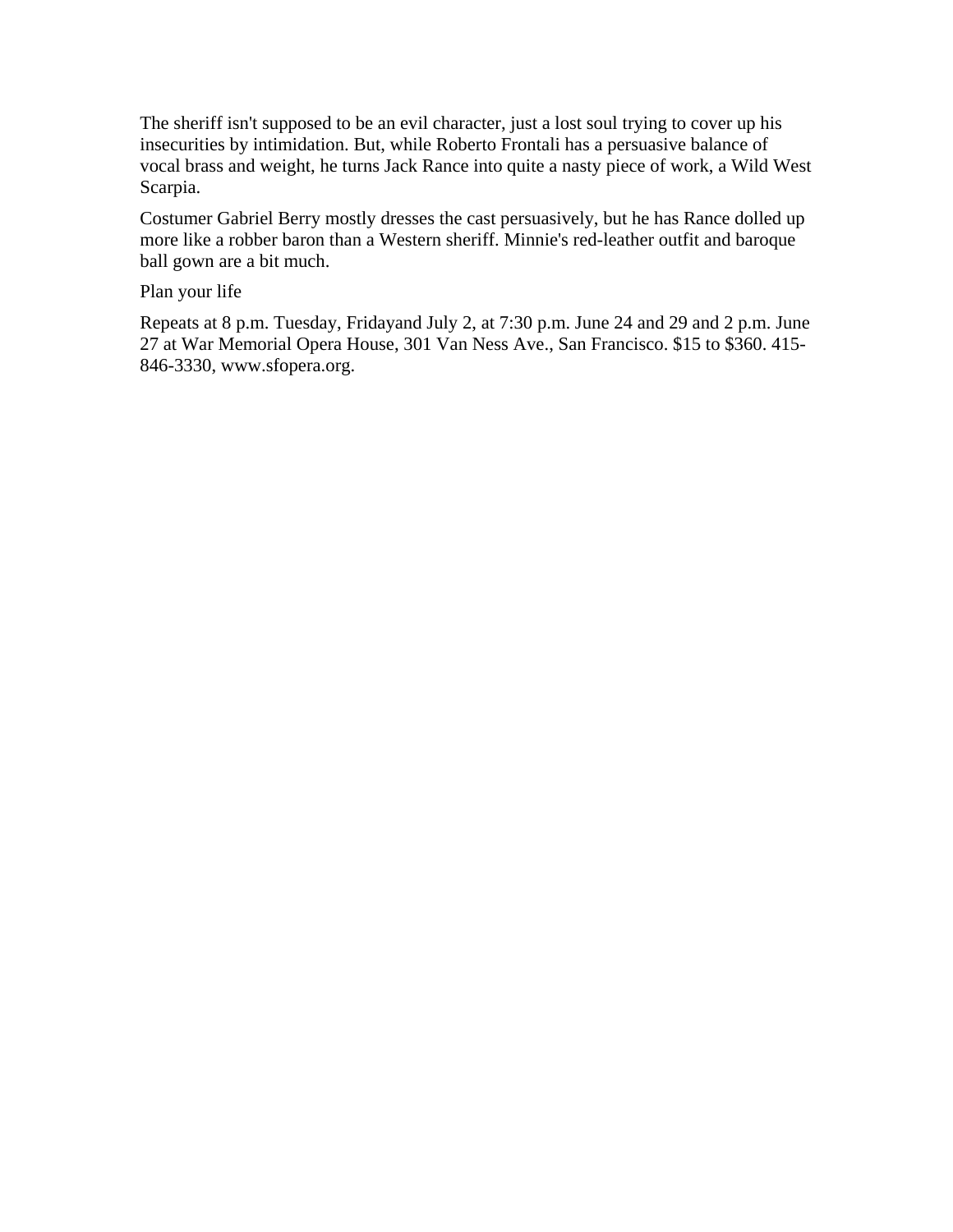The sheriff isn't supposed to be an evil character, just a lost soul trying to cover up his insecurities by intimidation. But, while Roberto Frontali has a persuasive balance of vocal brass and weight, he turns Jack Rance into quite a nasty piece of work, a Wild West Scarpia.

Costumer Gabriel Berry mostly dresses the cast persuasively, but he has Rance dolled up more like a robber baron than a Western sheriff. Minnie's red-leather outfit and baroque ball gown are a bit much.

Plan your life

Repeats at 8 p.m. Tuesday, Fridayand July 2, at 7:30 p.m. June 24 and 29 and 2 p.m. June 27 at War Memorial Opera House, 301 Van Ness Ave., San Francisco. \$15 to \$360. 415- 846-3330, www.sfopera.org.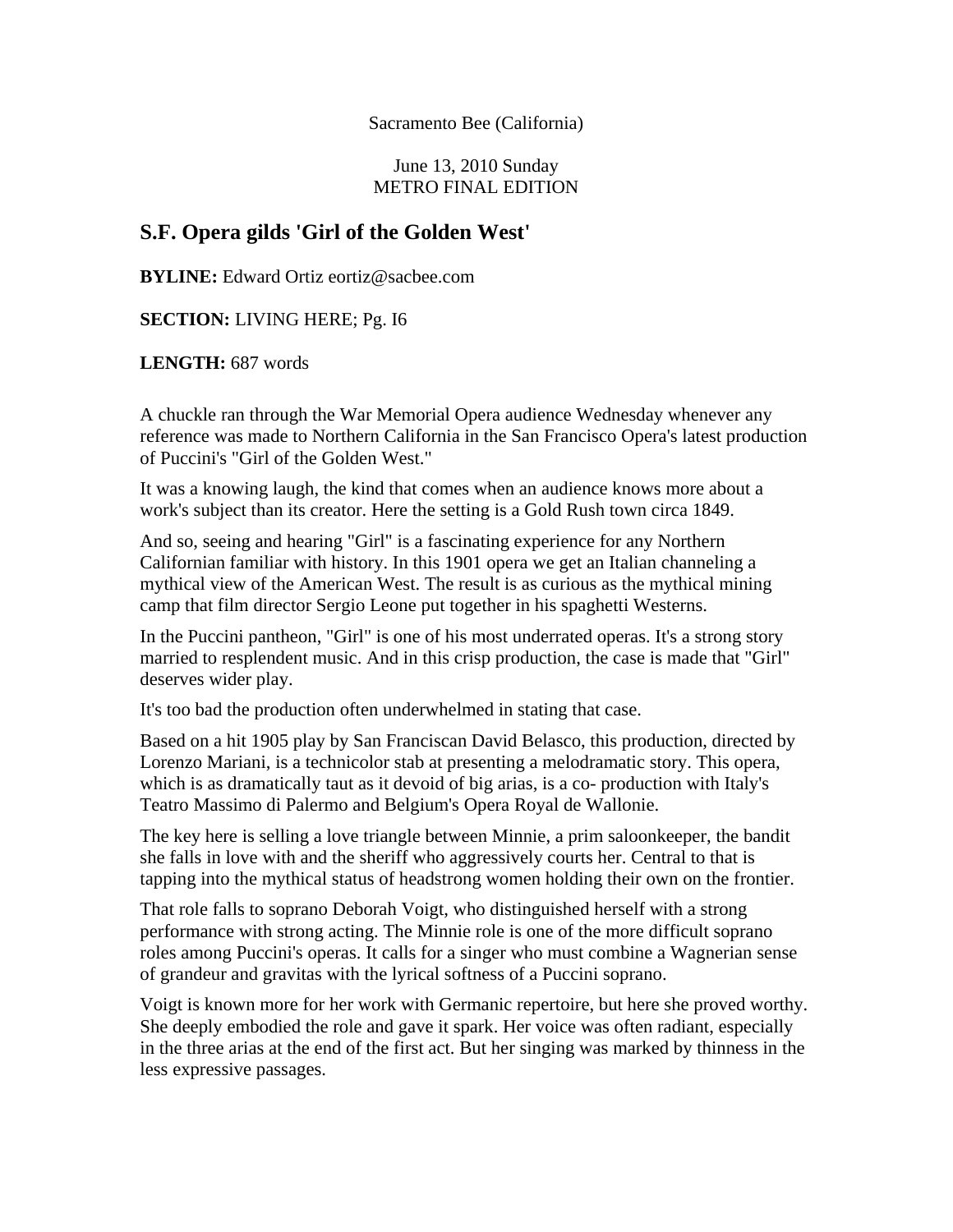Sacramento Bee (California)

June 13, 2010 Sunday METRO FINAL EDITION

## **S.F. Opera gilds 'Girl of the Golden West'**

**BYLINE:** Edward Ortiz eortiz@sacbee.com

**SECTION:** LIVING HERE; Pg. I6

**LENGTH:** 687 words

A chuckle ran through the War Memorial Opera audience Wednesday whenever any reference was made to Northern California in the San Francisco Opera's latest production of Puccini's "Girl of the Golden West."

It was a knowing laugh, the kind that comes when an audience knows more about a work's subject than its creator. Here the setting is a Gold Rush town circa 1849.

And so, seeing and hearing "Girl" is a fascinating experience for any Northern Californian familiar with history. In this 1901 opera we get an Italian channeling a mythical view of the American West. The result is as curious as the mythical mining camp that film director Sergio Leone put together in his spaghetti Westerns.

In the Puccini pantheon, "Girl" is one of his most underrated operas. It's a strong story married to resplendent music. And in this crisp production, the case is made that "Girl" deserves wider play.

It's too bad the production often underwhelmed in stating that case.

Based on a hit 1905 play by San Franciscan David Belasco, this production, directed by Lorenzo Mariani, is a technicolor stab at presenting a melodramatic story. This opera, which is as dramatically taut as it devoid of big arias, is a co- production with Italy's Teatro Massimo di Palermo and Belgium's Opera Royal de Wallonie.

The key here is selling a love triangle between Minnie, a prim saloonkeeper, the bandit she falls in love with and the sheriff who aggressively courts her. Central to that is tapping into the mythical status of headstrong women holding their own on the frontier.

That role falls to soprano Deborah Voigt, who distinguished herself with a strong performance with strong acting. The Minnie role is one of the more difficult soprano roles among Puccini's operas. It calls for a singer who must combine a Wagnerian sense of grandeur and gravitas with the lyrical softness of a Puccini soprano.

Voigt is known more for her work with Germanic repertoire, but here she proved worthy. She deeply embodied the role and gave it spark. Her voice was often radiant, especially in the three arias at the end of the first act. But her singing was marked by thinness in the less expressive passages.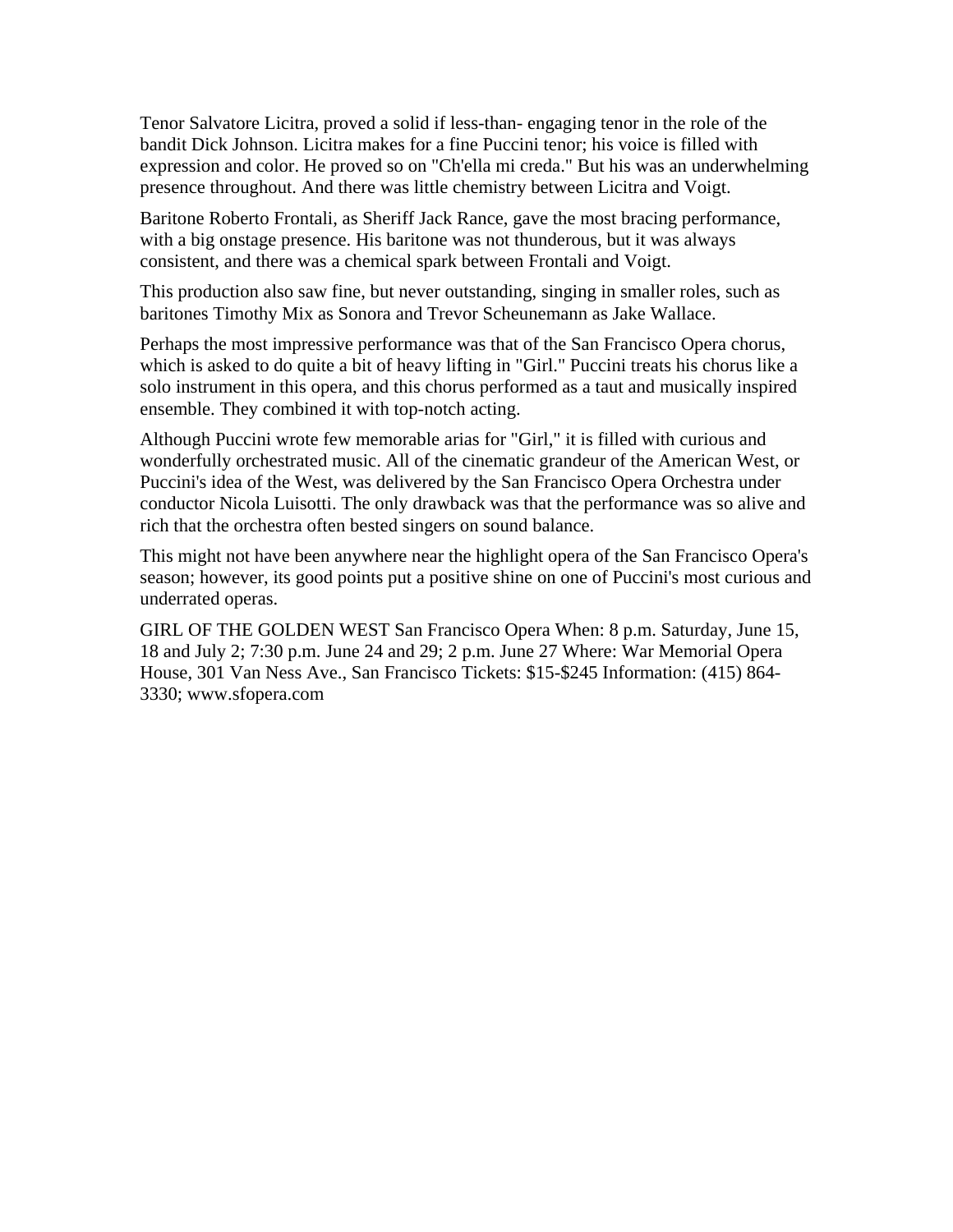Tenor Salvatore Licitra, proved a solid if less-than- engaging tenor in the role of the bandit Dick Johnson. Licitra makes for a fine Puccini tenor; his voice is filled with expression and color. He proved so on "Ch'ella mi creda." But his was an underwhelming presence throughout. And there was little chemistry between Licitra and Voigt.

Baritone Roberto Frontali, as Sheriff Jack Rance, gave the most bracing performance, with a big onstage presence. His baritone was not thunderous, but it was always consistent, and there was a chemical spark between Frontali and Voigt.

This production also saw fine, but never outstanding, singing in smaller roles, such as baritones Timothy Mix as Sonora and Trevor Scheunemann as Jake Wallace.

Perhaps the most impressive performance was that of the San Francisco Opera chorus, which is asked to do quite a bit of heavy lifting in "Girl." Puccini treats his chorus like a solo instrument in this opera, and this chorus performed as a taut and musically inspired ensemble. They combined it with top-notch acting.

Although Puccini wrote few memorable arias for "Girl," it is filled with curious and wonderfully orchestrated music. All of the cinematic grandeur of the American West, or Puccini's idea of the West, was delivered by the San Francisco Opera Orchestra under conductor Nicola Luisotti. The only drawback was that the performance was so alive and rich that the orchestra often bested singers on sound balance.

This might not have been anywhere near the highlight opera of the San Francisco Opera's season; however, its good points put a positive shine on one of Puccini's most curious and underrated operas.

GIRL OF THE GOLDEN WEST San Francisco Opera When: 8 p.m. Saturday, June 15, 18 and July 2; 7:30 p.m. June 24 and 29; 2 p.m. June 27 Where: War Memorial Opera House, 301 Van Ness Ave., San Francisco Tickets: \$15-\$245 Information: (415) 864- 3330; www.sfopera.com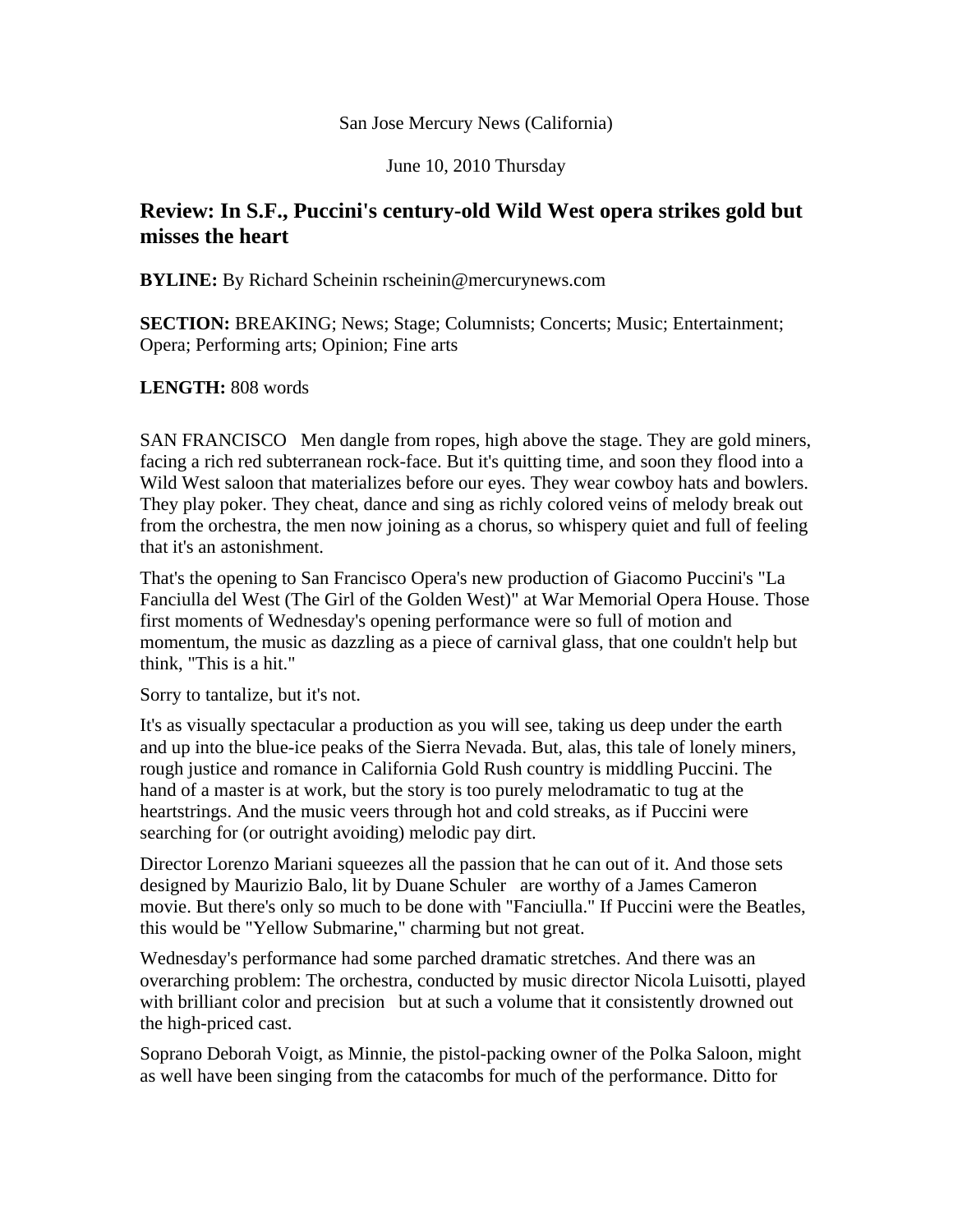### San Jose Mercury News (California)

June 10, 2010 Thursday

## **Review: In S.F., Puccini's century-old Wild West opera strikes gold but misses the heart**

**BYLINE:** By Richard Scheinin rscheinin@mercurynews.com

**SECTION: BREAKING; News; Stage; Columnists; Concerts; Music; Entertainment;** Opera; Performing arts; Opinion; Fine arts

## **LENGTH:** 808 words

SAN FRANCISCO Men dangle from ropes, high above the stage. They are gold miners, facing a rich red subterranean rock-face. But it's quitting time, and soon they flood into a Wild West saloon that materializes before our eyes. They wear cowboy hats and bowlers. They play poker. They cheat, dance and sing as richly colored veins of melody break out from the orchestra, the men now joining as a chorus, so whispery quiet and full of feeling that it's an astonishment.

That's the opening to San Francisco Opera's new production of Giacomo Puccini's "La Fanciulla del West (The Girl of the Golden West)" at War Memorial Opera House. Those first moments of Wednesday's opening performance were so full of motion and momentum, the music as dazzling as a piece of carnival glass, that one couldn't help but think, "This is a hit."

Sorry to tantalize, but it's not.

It's as visually spectacular a production as you will see, taking us deep under the earth and up into the blue-ice peaks of the Sierra Nevada. But, alas, this tale of lonely miners, rough justice and romance in California Gold Rush country is middling Puccini. The hand of a master is at work, but the story is too purely melodramatic to tug at the heartstrings. And the music veers through hot and cold streaks, as if Puccini were searching for (or outright avoiding) melodic pay dirt.

Director Lorenzo Mariani squeezes all the passion that he can out of it. And those sets designed by Maurizio Balo, lit by Duane Schuler are worthy of a James Cameron movie. But there's only so much to be done with "Fanciulla." If Puccini were the Beatles, this would be "Yellow Submarine," charming but not great.

Wednesday's performance had some parched dramatic stretches. And there was an overarching problem: The orchestra, conducted by music director Nicola Luisotti, played with brilliant color and precision but at such a volume that it consistently drowned out the high-priced cast.

Soprano Deborah Voigt, as Minnie, the pistol-packing owner of the Polka Saloon, might as well have been singing from the catacombs for much of the performance. Ditto for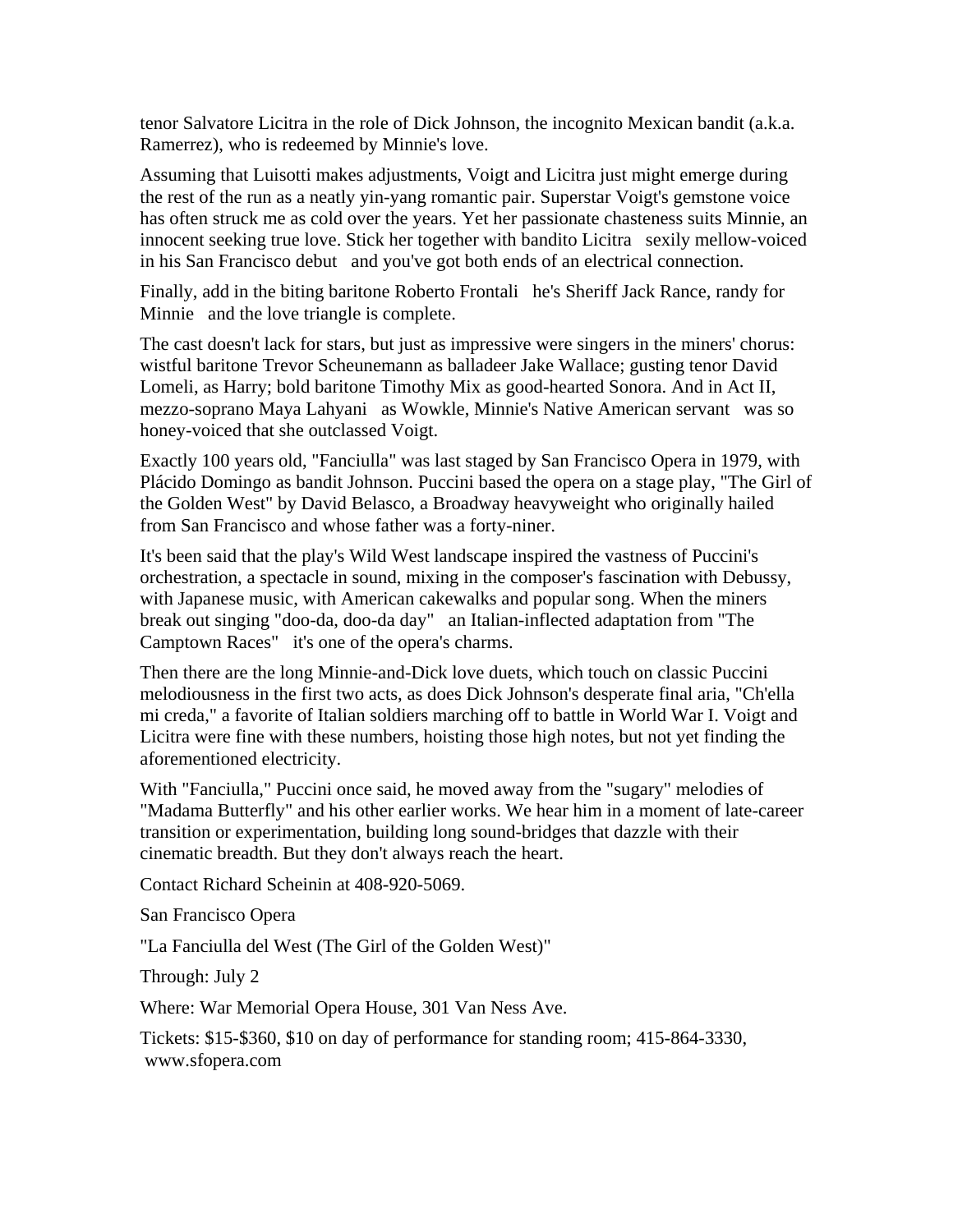tenor Salvatore Licitra in the role of Dick Johnson, the incognito Mexican bandit (a.k.a. Ramerrez), who is redeemed by Minnie's love.

Assuming that Luisotti makes adjustments, Voigt and Licitra just might emerge during the rest of the run as a neatly yin-yang romantic pair. Superstar Voigt's gemstone voice has often struck me as cold over the years. Yet her passionate chasteness suits Minnie, an innocent seeking true love. Stick her together with bandito Licitra sexily mellow-voiced in his San Francisco debut and you've got both ends of an electrical connection.

Finally, add in the biting baritone Roberto Frontali he's Sheriff Jack Rance, randy for Minnie and the love triangle is complete.

The cast doesn't lack for stars, but just as impressive were singers in the miners' chorus: wistful baritone Trevor Scheunemann as balladeer Jake Wallace; gusting tenor David Lomeli, as Harry; bold baritone Timothy Mix as good-hearted Sonora. And in Act II, mezzo-soprano Maya Lahyani as Wowkle, Minnie's Native American servant was so honey-voiced that she outclassed Voigt.

Exactly 100 years old, "Fanciulla" was last staged by San Francisco Opera in 1979, with Plácido Domingo as bandit Johnson. Puccini based the opera on a stage play, "The Girl of the Golden West" by David Belasco, a Broadway heavyweight who originally hailed from San Francisco and whose father was a forty-niner.

It's been said that the play's Wild West landscape inspired the vastness of Puccini's orchestration, a spectacle in sound, mixing in the composer's fascination with Debussy, with Japanese music, with American cakewalks and popular song. When the miners break out singing "doo-da, doo-da day" an Italian-inflected adaptation from "The Camptown Races" it's one of the opera's charms.

Then there are the long Minnie-and-Dick love duets, which touch on classic Puccini melodiousness in the first two acts, as does Dick Johnson's desperate final aria, "Ch'ella mi creda," a favorite of Italian soldiers marching off to battle in World War I. Voigt and Licitra were fine with these numbers, hoisting those high notes, but not yet finding the aforementioned electricity.

With "Fanciulla," Puccini once said, he moved away from the "sugary" melodies of "Madama Butterfly" and his other earlier works. We hear him in a moment of late-career transition or experimentation, building long sound-bridges that dazzle with their cinematic breadth. But they don't always reach the heart.

Contact Richard Scheinin at 408-920-5069.

San Francisco Opera

"La Fanciulla del West (The Girl of the Golden West)"

Through: July 2

Where: War Memorial Opera House, 301 Van Ness Ave.

Tickets: \$15-\$360, \$10 on day of performance for standing room; 415-864-3330, www.sfopera.com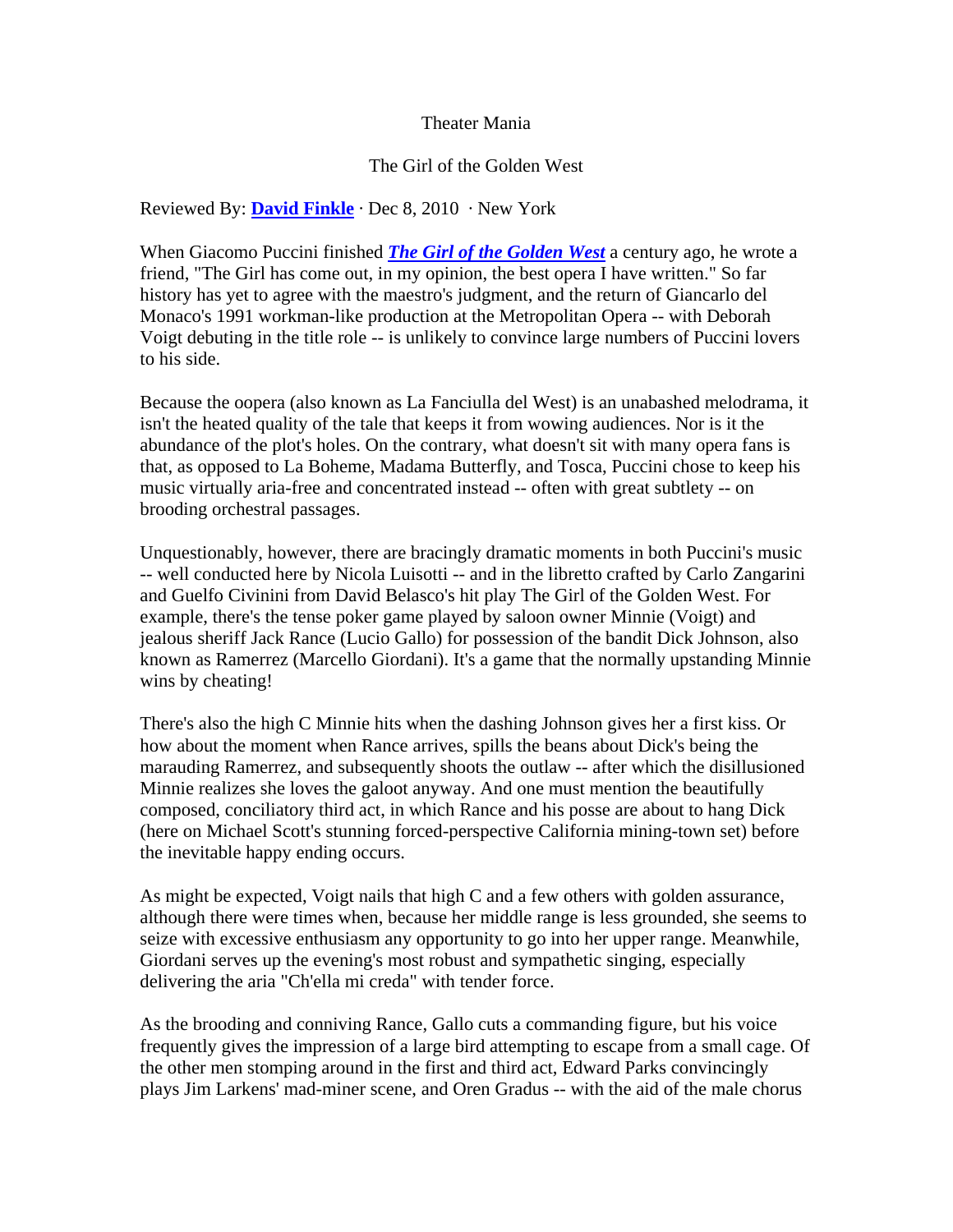### Theater Mania

#### The Girl of the Golden West

### Reviewed By: **[David Finkle](http://www.theatermania.com/extras/about.cfm/section/editorialBios)** · Dec 8, 2010 · New York

When Giacomo Puccini finished *[The Girl of the Golden West](http://www.theatermania.com/new-york/shows/girl-of-the-golden-west_176557/)* a century ago, he wrote a friend, "The Girl has come out, in my opinion, the best opera I have written." So far history has yet to agree with the maestro's judgment, and the return of Giancarlo del Monaco's 1991 workman-like production at the Metropolitan Opera -- with Deborah Voigt debuting in the title role -- is unlikely to convince large numbers of Puccini lovers to his side.

Because the oopera (also known as La Fanciulla del West) is an unabashed melodrama, it isn't the heated quality of the tale that keeps it from wowing audiences. Nor is it the abundance of the plot's holes. On the contrary, what doesn't sit with many opera fans is that, as opposed to La Boheme, Madama Butterfly, and Tosca, Puccini chose to keep his music virtually aria-free and concentrated instead -- often with great subtlety -- on brooding orchestral passages.

Unquestionably, however, there are bracingly dramatic moments in both Puccini's music -- well conducted here by Nicola Luisotti -- and in the libretto crafted by Carlo Zangarini and Guelfo Civinini from David Belasco's hit play The Girl of the Golden West. For example, there's the tense poker game played by saloon owner Minnie (Voigt) and jealous sheriff Jack Rance (Lucio Gallo) for possession of the bandit Dick Johnson, also known as Ramerrez (Marcello Giordani). It's a game that the normally upstanding Minnie wins by cheating!

There's also the high C Minnie hits when the dashing Johnson gives her a first kiss. Or how about the moment when Rance arrives, spills the beans about Dick's being the marauding Ramerrez, and subsequently shoots the outlaw -- after which the disillusioned Minnie realizes she loves the galoot anyway. And one must mention the beautifully composed, conciliatory third act, in which Rance and his posse are about to hang Dick (here on Michael Scott's stunning forced-perspective California mining-town set) before the inevitable happy ending occurs.

As might be expected, Voigt nails that high C and a few others with golden assurance, although there were times when, because her middle range is less grounded, she seems to seize with excessive enthusiasm any opportunity to go into her upper range. Meanwhile, Giordani serves up the evening's most robust and sympathetic singing, especially delivering the aria "Ch'ella mi creda" with tender force.

As the brooding and conniving Rance, Gallo cuts a commanding figure, but his voice frequently gives the impression of a large bird attempting to escape from a small cage. Of the other men stomping around in the first and third act, Edward Parks convincingly plays Jim Larkens' mad-miner scene, and Oren Gradus -- with the aid of the male chorus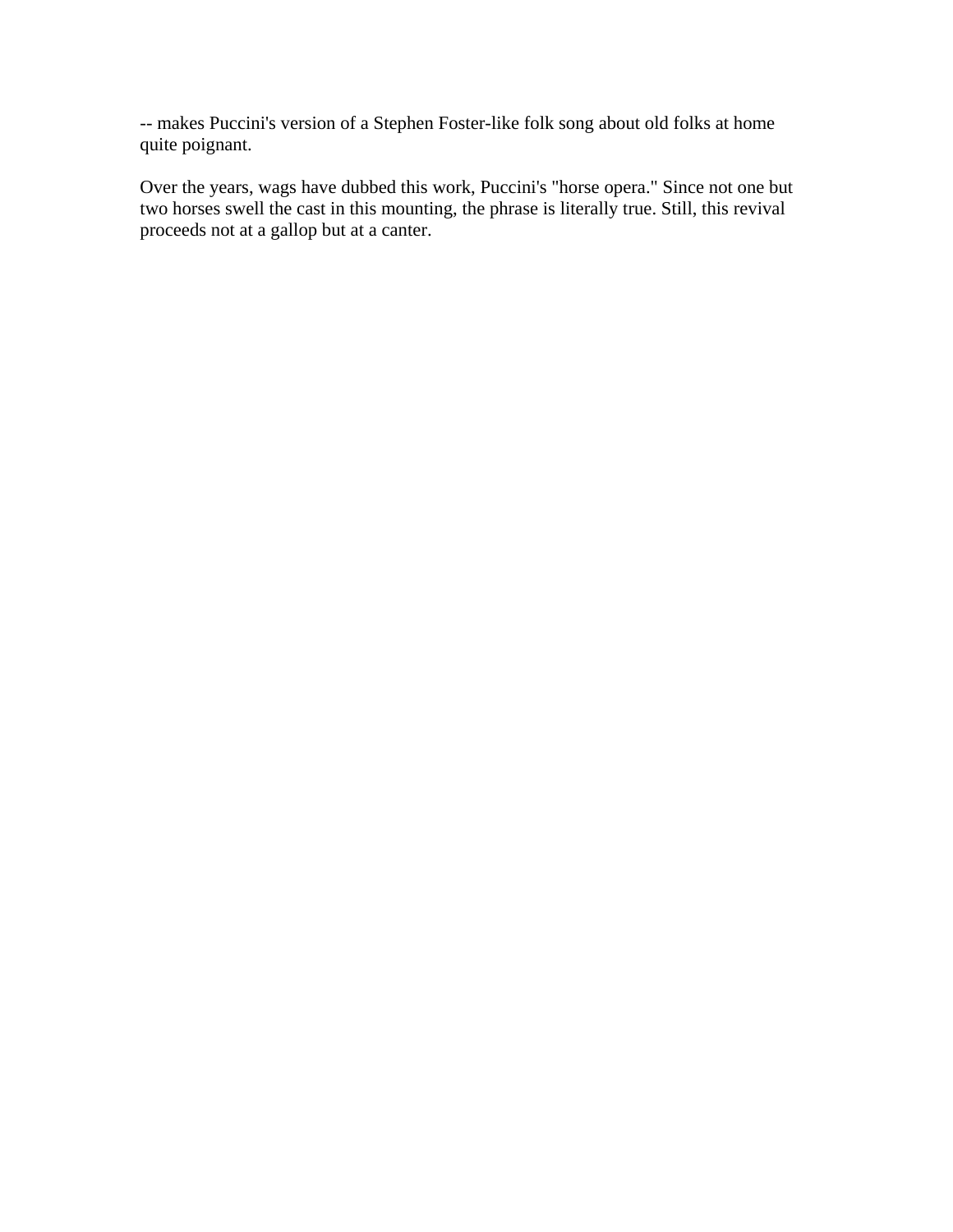-- makes Puccini's version of a Stephen Foster-like folk song about old folks at home quite poignant.

Over the years, wags have dubbed this work, Puccini's "horse opera." Since not one but two horses swell the cast in this mounting, the phrase is literally true. Still, this revival proceeds not at a gallop but at a canter.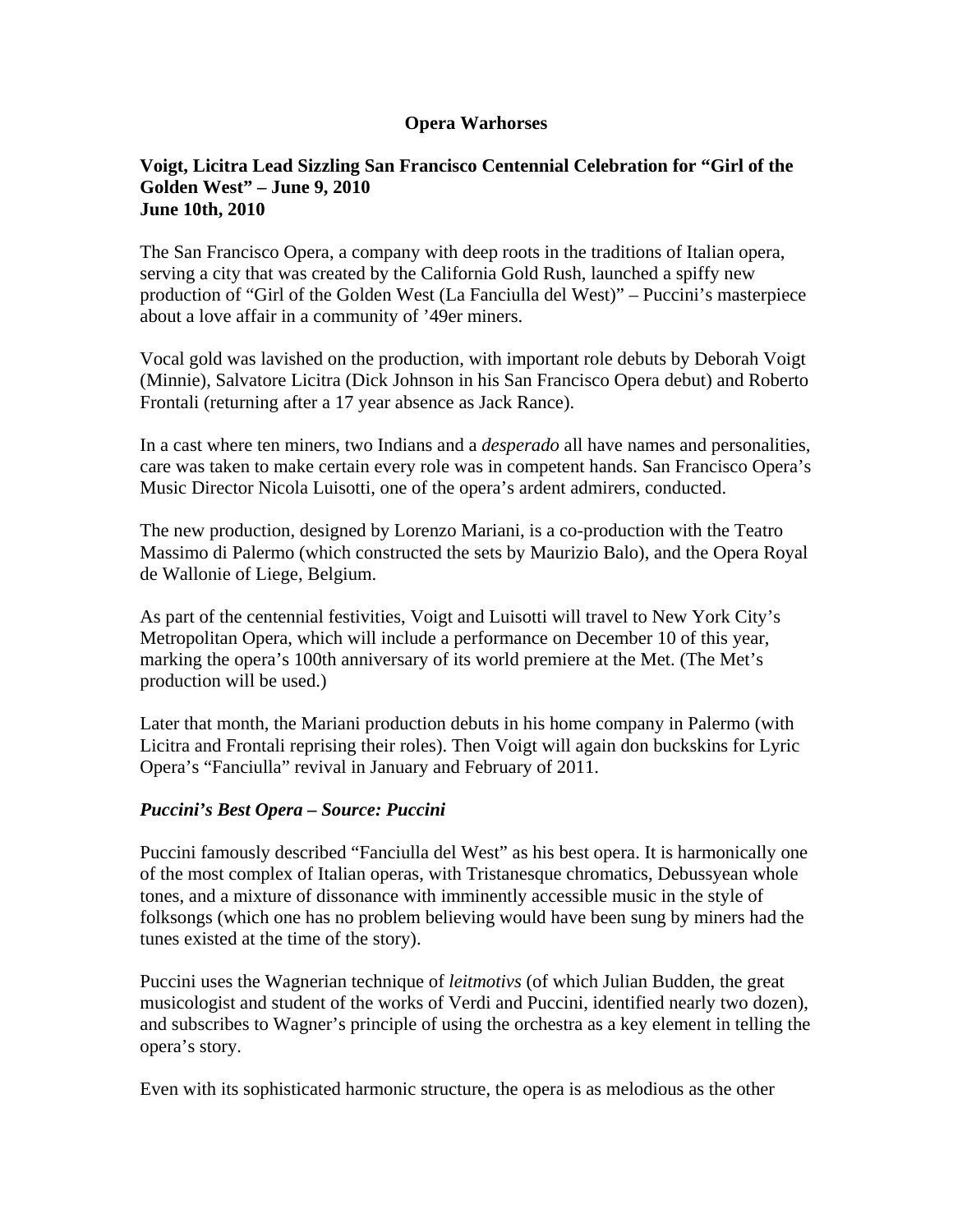## **Opera Warhorses**

#### **Voigt, Licitra Lead Sizzling San Francisco Centennial Celebration for "Girl of the Golden West" – June 9, 2010 June 10th, 2010**

The San Francisco Opera, a company with deep roots in the traditions of Italian opera, serving a city that was created by the California Gold Rush, launched a spiffy new production of "Girl of the Golden West (La Fanciulla del West)" – Puccini's masterpiece about a love affair in a community of '49er miners.

Vocal gold was lavished on the production, with important role debuts by Deborah Voigt (Minnie), Salvatore Licitra (Dick Johnson in his San Francisco Opera debut) and Roberto Frontali (returning after a 17 year absence as Jack Rance).

In a cast where ten miners, two Indians and a *desperado* all have names and personalities, care was taken to make certain every role was in competent hands. San Francisco Opera's Music Director Nicola Luisotti, one of the opera's ardent admirers, conducted.

The new production, designed by Lorenzo Mariani, is a co-production with the Teatro Massimo di Palermo (which constructed the sets by Maurizio Balo), and the Opera Royal de Wallonie of Liege, Belgium.

As part of the centennial festivities, Voigt and Luisotti will travel to New York City's Metropolitan Opera, which will include a performance on December 10 of this year, marking the opera's 100th anniversary of its world premiere at the Met. (The Met's production will be used.)

Later that month, the Mariani production debuts in his home company in Palermo (with Licitra and Frontali reprising their roles). Then Voigt will again don buckskins for Lyric Opera's "Fanciulla" revival in January and February of 2011.

### *Puccini's Best Opera – Source: Puccini*

Puccini famously described "Fanciulla del West" as his best opera. It is harmonically one of the most complex of Italian operas, with Tristanesque chromatics, Debussyean whole tones, and a mixture of dissonance with imminently accessible music in the style of folksongs (which one has no problem believing would have been sung by miners had the tunes existed at the time of the story).

Puccini uses the Wagnerian technique of *leitmotivs* (of which Julian Budden, the great musicologist and student of the works of Verdi and Puccini, identified nearly two dozen), and subscribes to Wagner's principle of using the orchestra as a key element in telling the opera's story.

Even with its sophisticated harmonic structure, the opera is as melodious as the other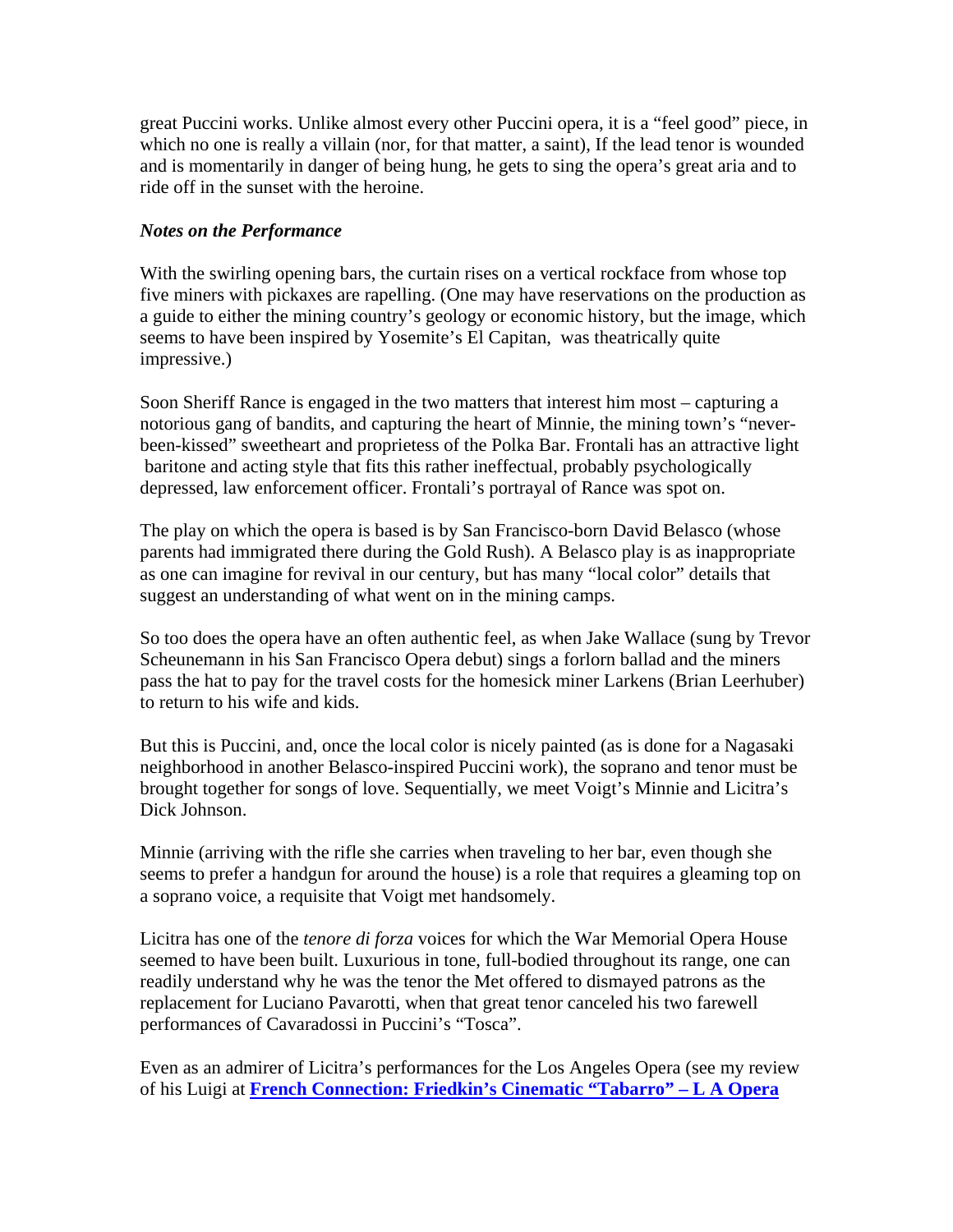great Puccini works. Unlike almost every other Puccini opera, it is a "feel good" piece, in which no one is really a villain (nor, for that matter, a saint), If the lead tenor is wounded and is momentarily in danger of being hung, he gets to sing the opera's great aria and to ride off in the sunset with the heroine.

## *Notes on the Performance*

With the swirling opening bars, the curtain rises on a vertical rockface from whose top five miners with pickaxes are rapelling. (One may have reservations on the production as a guide to either the mining country's geology or economic history, but the image, which seems to have been inspired by Yosemite's El Capitan, was theatrically quite impressive.)

Soon Sheriff Rance is engaged in the two matters that interest him most – capturing a notorious gang of bandits, and capturing the heart of Minnie, the mining town's "neverbeen-kissed" sweetheart and proprietess of the Polka Bar. Frontali has an attractive light baritone and acting style that fits this rather ineffectual, probably psychologically depressed, law enforcement officer. Frontali's portrayal of Rance was spot on.

The play on which the opera is based is by San Francisco-born David Belasco (whose parents had immigrated there during the Gold Rush). A Belasco play is as inappropriate as one can imagine for revival in our century, but has many "local color" details that suggest an understanding of what went on in the mining camps.

So too does the opera have an often authentic feel, as when Jake Wallace (sung by Trevor Scheunemann in his San Francisco Opera debut) sings a forlorn ballad and the miners pass the hat to pay for the travel costs for the homesick miner Larkens (Brian Leerhuber) to return to his wife and kids.

But this is Puccini, and, once the local color is nicely painted (as is done for a Nagasaki neighborhood in another Belasco-inspired Puccini work), the soprano and tenor must be brought together for songs of love. Sequentially, we meet Voigt's Minnie and Licitra's Dick Johnson.

Minnie (arriving with the rifle she carries when traveling to her bar, even though she seems to prefer a handgun for around the house) is a role that requires a gleaming top on a soprano voice, a requisite that Voigt met handsomely.

Licitra has one of the *tenore di forza* voices for which the War Memorial Opera House seemed to have been built. Luxurious in tone, full-bodied throughout its range, one can readily understand why he was the tenor the Met offered to dismayed patrons as the replacement for Luciano Pavarotti, when that great tenor canceled his two farewell performances of Cavaradossi in Puccini's "Tosca".

Even as an admirer of Licitra's performances for the Los Angeles Opera (see my review of his Luigi at **[French Connection: Friedkin's Cinematic "Tabarro" – L A Opera](http://www.operawarhorses.com/2008/09/08/frendkins-cinematic-tabarro-l-a-opera-september-6-2008/)**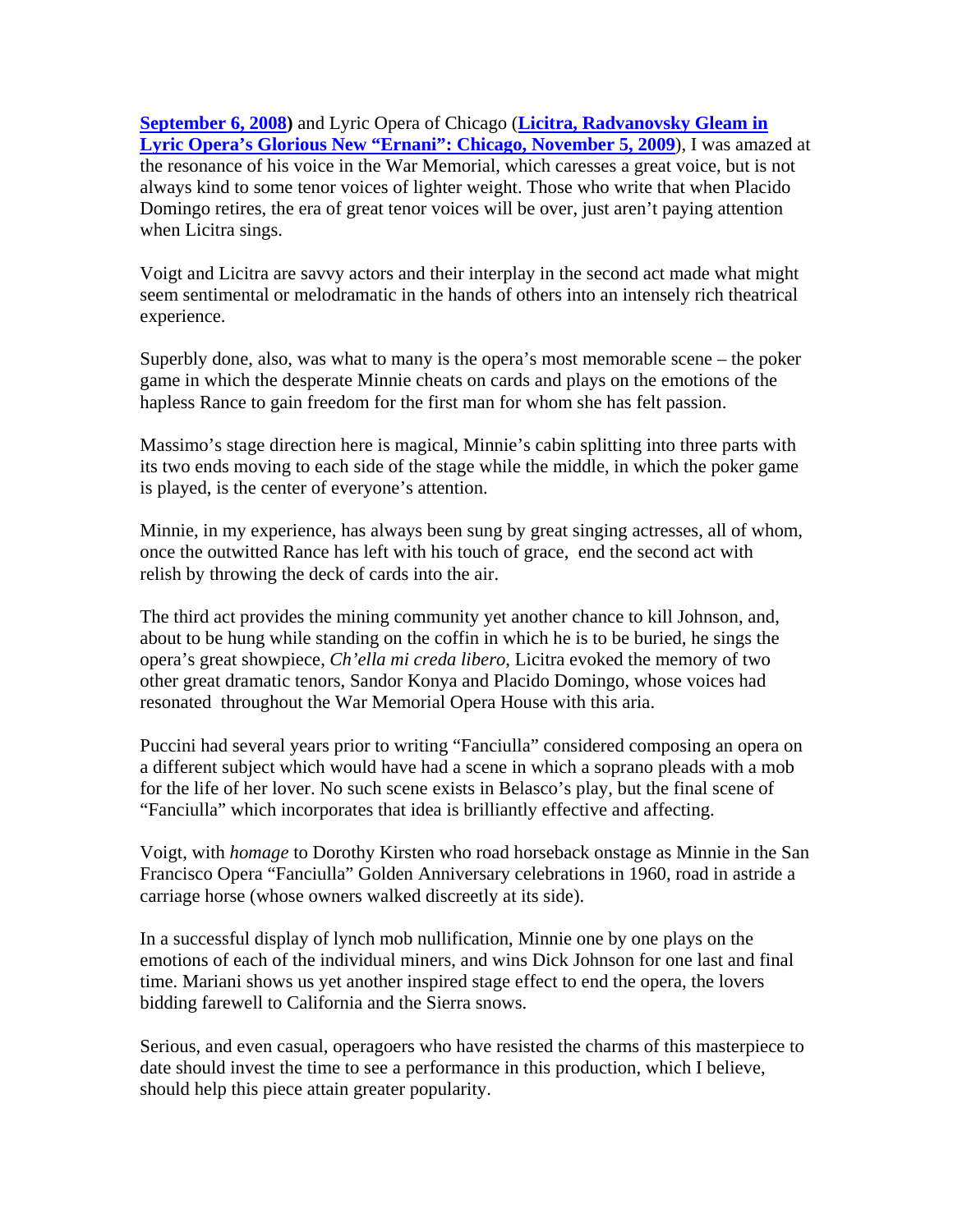**[September 6, 2008](http://www.operawarhorses.com/2008/09/08/frendkins-cinematic-tabarro-l-a-opera-september-6-2008/))** and Lyric Opera of Chicago (**[Licitra, Radvanovsky Gleam in](http://www.operawarhorses.com/2009/11/08/licitra-radvanovsky-gleam-in-lyric-operas-glorious-new-ernani-chicago-november-5-2009/)  [Lyric Opera's Glorious New "Ernani": Chicago, November 5, 2009](http://www.operawarhorses.com/2009/11/08/licitra-radvanovsky-gleam-in-lyric-operas-glorious-new-ernani-chicago-november-5-2009/)**), I was amazed at the resonance of his voice in the War Memorial, which caresses a great voice, but is not always kind to some tenor voices of lighter weight. Those who write that when Placido Domingo retires, the era of great tenor voices will be over, just aren't paying attention when Licitra sings.

Voigt and Licitra are savvy actors and their interplay in the second act made what might seem sentimental or melodramatic in the hands of others into an intensely rich theatrical experience.

Superbly done, also, was what to many is the opera's most memorable scene – the poker game in which the desperate Minnie cheats on cards and plays on the emotions of the hapless Rance to gain freedom for the first man for whom she has felt passion.

Massimo's stage direction here is magical, Minnie's cabin splitting into three parts with its two ends moving to each side of the stage while the middle, in which the poker game is played, is the center of everyone's attention.

Minnie, in my experience, has always been sung by great singing actresses, all of whom, once the outwitted Rance has left with his touch of grace, end the second act with relish by throwing the deck of cards into the air.

The third act provides the mining community yet another chance to kill Johnson, and, about to be hung while standing on the coffin in which he is to be buried, he sings the opera's great showpiece, *Ch'ella mi creda libero*, Licitra evoked the memory of two other great dramatic tenors, Sandor Konya and Placido Domingo, whose voices had resonated throughout the War Memorial Opera House with this aria.

Puccini had several years prior to writing "Fanciulla" considered composing an opera on a different subject which would have had a scene in which a soprano pleads with a mob for the life of her lover. No such scene exists in Belasco's play, but the final scene of "Fanciulla" which incorporates that idea is brilliantly effective and affecting.

Voigt, with *homage* to Dorothy Kirsten who road horseback onstage as Minnie in the San Francisco Opera "Fanciulla" Golden Anniversary celebrations in 1960, road in astride a carriage horse (whose owners walked discreetly at its side).

In a successful display of lynch mob nullification, Minnie one by one plays on the emotions of each of the individual miners, and wins Dick Johnson for one last and final time. Mariani shows us yet another inspired stage effect to end the opera, the lovers bidding farewell to California and the Sierra snows.

Serious, and even casual, operagoers who have resisted the charms of this masterpiece to date should invest the time to see a performance in this production, which I believe, should help this piece attain greater popularity.